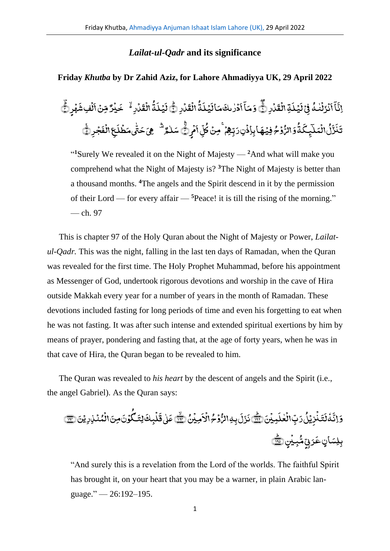## *Lailat-ul-Qadr* **and its significance**

## **Friday** *Khutba* **by Dr Zahid Aziz, for Lahore Ahmadiyya UK, 29 April 2022**

ر<br>لمارِ ١ .<br>, َّ ق ِۃال **أ** َّ ل ی <u>َ</u> َّ ن<br>فِیْ ڈ .<br>, ف ُ م<br>نزلنه ٰ ់<br>ទ <u>َ</u> َّ آ ِ<br>پ آ َّ اِثَّآ اَنۡرَلۡنٰٰٓ فَیۡ لَیۡلَـٰٓ الۡقَدۡارِ ۞ وَمَآ اَدۡرٰ ىكَ مَا لَیۡلَـٰٓةُ الۡقَدۡارِ ۞ .<br>ء َّ ق ال .<br>ء ُ ۃ َّ ل ی **أ** َّ ال َّ م َّ دُرْىكَ ٰ .<br>, َّ ا ِ<br>په وَمَآ أَدۡرٰىكَ مَاۤ لَيۡلَمُّ الۡقَدۡارِ ﴾ لَيۡلَمُّ الۡقَدۡارِ ۚ ۖ خَبۡرٌ .<br>, َّ مُارِ ُہ خَم .<br>, َّ ق ال .<br>ء ُ ۃ َّ ل ی **أ** َّ لَيۡلَٰٓ ۖ الۡقَدۡارِ ۚ خَيۡدٌ مِّنۡ اَلۡفِ شَهۡرِ ۗ .<br>ء َّ ِ<br>لُفِ شَ .<br>, َّ مِّنۡ اَلۡفِشۡهُرۡ ﴾ وۡمُ فِیۡهَابِاِذۡنِٖ رَبِّہِمۡ ۚ مِنۡ **ٔ** ؚ<br>ۣ **أ ٔ** ُ الر َّ و ُ ۃ َّ ِ<br>تِجِگ ٰٓ ا<br>نُعَلَ <u>َّ</u> ُ و<br>ل ِ<br>زُنَّی َّ ن َّ تَذَرُّلُ انۡمَلَـٰٓئِـكَۃُٰوَ الرُّوۡمُ فِيۡهَاۚ بِاِذۡنِ رَبِّهِمۡ ۚ مِنۡ كُلِّ اَمۡرِ رَّ **ٔ** َّ ن<br>یا آ ِ<br>ښا س<br>کل ُ كُلِّ اَمُرِنُّیَ سَلْمُرٌ ۖ هِيَ حَتَّىمَطَٰلَعِ الْفَجْرِ لِيَّ .<br>, َّ ف ال ِ ع .<br>, َّ ل ط َّ یم .<br>, ؚ<u>ؙ</u> j سَلْمُر<sup>َ ش</sup>ْهِيَ حَتَّى مَطۡلَحٖ الۡفَجۡرِ ۞َّ ٰ

"<sup>1</sup>Surely We revealed it on the Night of Majesty —  $2$ And what will make you comprehend what the Night of Majesty is? **<sup>3</sup>**The Night of Majesty is better than a thousand months. **<sup>4</sup>**The angels and the Spirit descend in it by the permission of their Lord — for every affair — **<sup>5</sup>**Peace! it is till the rising of the morning." — ch. 97

This is chapter 97 of the Holy Quran about the Night of Majesty or Power, *Lailatul-Qadr.* This was the night, falling in the last ten days of Ramadan, when the Quran was revealed for the first time. The Holy Prophet Muhammad, before his appointment as Messenger of God, undertook rigorous devotions and worship in the cave of Hira outside Makkah every year for a number of years in the month of Ramadan. These devotions included fasting for long periods of time and even his forgetting to eat when he was not fasting. It was after such intense and extended spiritual exertions by him by means of prayer, pondering and fasting that, at the age of forty years, when he was in that cave of Hira, the Quran began to be revealed to him.

The Quran was revealed to *his heart* by the descent of angels and the Spirit (i.e., the angel Gabriel). As the Quran says:

ِ<br>مِیْنَ﴿ .<br>, َّ ل ع ال ِ ٰ .<br>, ب َّ ر ُ ل ی ِ ز ن َّ ت **أ** .<br>ء َّ ل ہ ٗ َّ وَ إِنَّهُ لَتَذَٰذِيۡلُ رَبِّ الۡعٰلَبِيۡنَ (<u>ِ﴾</u> ۚذَرَلَ بِهِ الرُّوۡمُ الۡاَمِيۡنُ ﴿ .<br>ء َّ .<br>وُحُرالًا .<br>, **ٔ** بِهِالرُّ .<br>بر ل َّ ز َّ نَزَلَ بِهِ الرُّوۡمُ الۡاَمِیۡنُ (صَلَّے) عَلٰی قَلۡبِكَ لِتَنكُوۡنَ مِنَ الۡمُنۡذِرِیۡنَ ﴿  $^{\circ}$ .<br>, .<br>, **ّ** ُ ک َّ لِت َّ لْمِكَ .<br>, .<br>بر عَلٰ قَلۡبِكَ لِتَبِكُوۡنَ مِنَ الۡمُنۡلِدِيۡنَ (<del>ِسَ</del> ٰ ل بِی<u>ن</u>ی(پُ .<br>ء ؘ<br>مَرَبِّ مُّ ب .<br>بِلِسَانٍ عَرَبٌ مُّبِيْنِ (<u>َلَّهَ</u>

"And surely this is a revelation from the Lord of the worlds. The faithful Spirit has brought it, on your heart that you may be a warner, in plain Arabic language." — 26:192–195.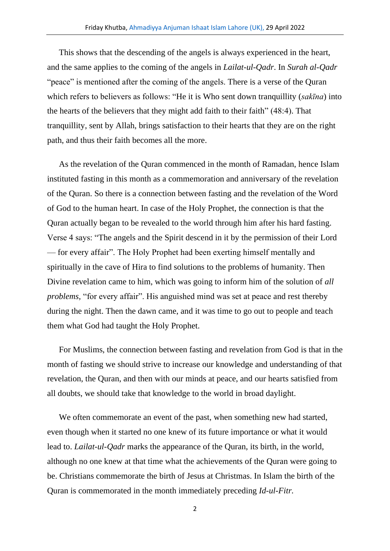This shows that the descending of the angels is always experienced in the heart, and the same applies to the coming of the angels in *Lailat-ul-Qadr*. In *Surah al-Qadr* "peace" is mentioned after the coming of the angels. There is a verse of the Quran which refers to believers as follows: "He it is Who sent down tranquillity (*sakīna*) into the hearts of the believers that they might add faith to their faith" (48:4). That tranquillity, sent by Allah, brings satisfaction to their hearts that they are on the right path, and thus their faith becomes all the more.

As the revelation of the Quran commenced in the month of Ramadan, hence Islam instituted fasting in this month as a commemoration and anniversary of the revelation of the Quran. So there is a connection between fasting and the revelation of the Word of God to the human heart. In case of the Holy Prophet, the connection is that the Quran actually began to be revealed to the world through him after his hard fasting. Verse 4 says: "The angels and the Spirit descend in it by the permission of their Lord — for every affair". The Holy Prophet had been exerting himself mentally and spiritually in the cave of Hira to find solutions to the problems of humanity. Then Divine revelation came to him, which was going to inform him of the solution of *all problems,* "for every affair". His anguished mind was set at peace and rest thereby during the night. Then the dawn came, and it was time to go out to people and teach them what God had taught the Holy Prophet.

For Muslims, the connection between fasting and revelation from God is that in the month of fasting we should strive to increase our knowledge and understanding of that revelation, the Quran, and then with our minds at peace, and our hearts satisfied from all doubts, we should take that knowledge to the world in broad daylight.

We often commemorate an event of the past, when something new had started, even though when it started no one knew of its future importance or what it would lead to. *Lailat-ul-Qadr* marks the appearance of the Quran, its birth, in the world, although no one knew at that time what the achievements of the Quran were going to be. Christians commemorate the birth of Jesus at Christmas. In Islam the birth of the Quran is commemorated in the month immediately preceding *Id-ul-Fitr.*

<sup>2</sup>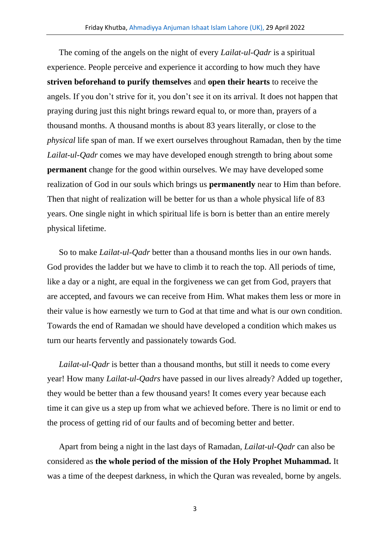The coming of the angels on the night of every *Lailat-ul-Qadr* is a spiritual experience. People perceive and experience it according to how much they have **striven beforehand to purify themselves** and **open their hearts** to receive the angels. If you don't strive for it, you don't see it on its arrival. It does not happen that praying during just this night brings reward equal to, or more than, prayers of a thousand months. A thousand months is about 83 years literally, or close to the *physical* life span of man. If we exert ourselves throughout Ramadan, then by the time *Lailat-ul-Qadr* comes we may have developed enough strength to bring about some **permanent** change for the good within ourselves. We may have developed some realization of God in our souls which brings us **permanently** near to Him than before. Then that night of realization will be better for us than a whole physical life of 83 years. One single night in which spiritual life is born is better than an entire merely physical lifetime.

So to make *Lailat-ul-Qadr* better than a thousand months lies in our own hands. God provides the ladder but we have to climb it to reach the top. All periods of time, like a day or a night, are equal in the forgiveness we can get from God, prayers that are accepted, and favours we can receive from Him. What makes them less or more in their value is how earnestly we turn to God at that time and what is our own condition. Towards the end of Ramadan we should have developed a condition which makes us turn our hearts fervently and passionately towards God.

*Lailat-ul-Qadr* is better than a thousand months, but still it needs to come every year! How many *Lailat-ul-Qadrs* have passed in our lives already? Added up together, they would be better than a few thousand years! It comes every year because each time it can give us a step up from what we achieved before. There is no limit or end to the process of getting rid of our faults and of becoming better and better.

Apart from being a night in the last days of Ramadan, *Lailat-ul-Qadr* can also be considered as **the whole period of the mission of the Holy Prophet Muhammad.** It was a time of the deepest darkness, in which the Quran was revealed, borne by angels.

3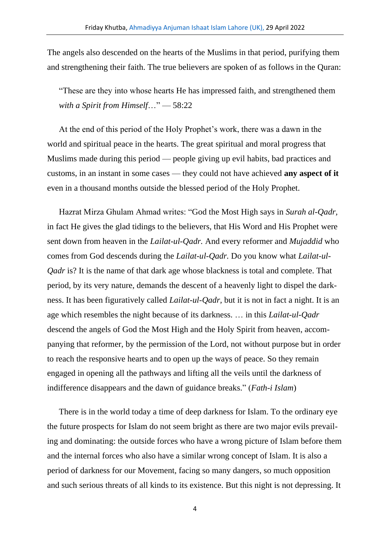The angels also descended on the hearts of the Muslims in that period, purifying them and strengthening their faith. The true believers are spoken of as follows in the Quran:

"These are they into whose hearts He has impressed faith, and strengthened them *with a Spirit from Himself*…" — 58:22

At the end of this period of the Holy Prophet's work, there was a dawn in the world and spiritual peace in the hearts. The great spiritual and moral progress that Muslims made during this period — people giving up evil habits, bad practices and customs, in an instant in some cases — they could not have achieved **any aspect of it**  even in a thousand months outside the blessed period of the Holy Prophet.

Hazrat Mirza Ghulam Ahmad writes: "God the Most High says in *Surah al-Qadr,* in fact He gives the glad tidings to the believers, that His Word and His Prophet were sent down from heaven in the *Lailat-ul-Qadr.* And every reformer and *Mujaddid* who comes from God descends during the *Lailat-ul-Qadr.* Do you know what *Lailat-ul-Qadr* is? It is the name of that dark age whose blackness is total and complete. That period, by its very nature, demands the descent of a heavenly light to dispel the darkness. It has been figuratively called *Lailat-ul-Qadr,* but it is not in fact a night. It is an age which resembles the night because of its darkness. … in this *Lailat-ul-Qadr* descend the angels of God the Most High and the Holy Spirit from heaven, accompanying that reformer, by the permission of the Lord, not without purpose but in order to reach the responsive hearts and to open up the ways of peace. So they remain engaged in opening all the pathways and lifting all the veils until the darkness of indifference disappears and the dawn of guidance breaks." (*Fath-i Islam*)

There is in the world today a time of deep darkness for Islam. To the ordinary eye the future prospects for Islam do not seem bright as there are two major evils prevailing and dominating: the outside forces who have a wrong picture of Islam before them and the internal forces who also have a similar wrong concept of Islam. It is also a period of darkness for our Movement, facing so many dangers, so much opposition and such serious threats of all kinds to its existence. But this night is not depressing. It

4